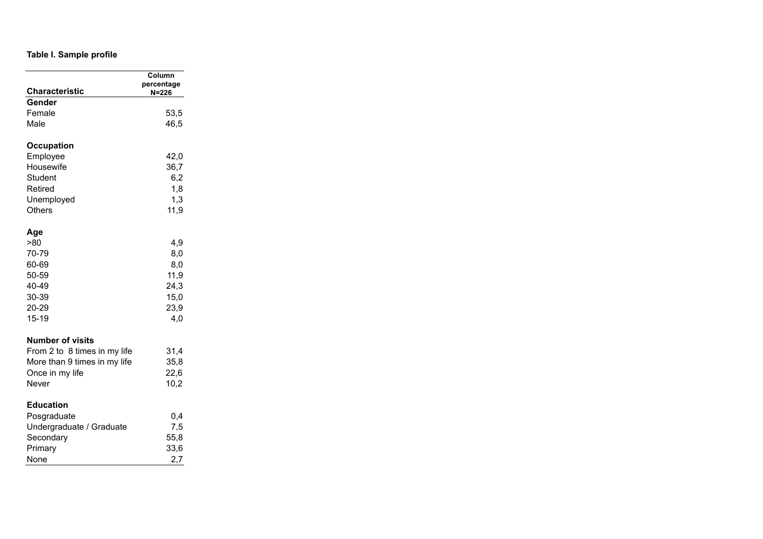## **Table I. Sample profile**

| <b>Characteristic</b>        | Column<br>percentage<br>N=226 |
|------------------------------|-------------------------------|
| Gender                       |                               |
| Female                       | 53,5                          |
| Male                         | 46,5                          |
| Occupation                   |                               |
| Employee                     | 42,0                          |
| Housewife                    | 36,7                          |
| Student                      | 6,2                           |
| Retired                      | 1,8                           |
| Unemployed                   | 1,3                           |
| Others                       | 11,9                          |
| Age                          |                               |
| >80                          | 4,9                           |
| 70-79                        | 8,0                           |
| 60-69                        | 8,0                           |
| 50-59                        | 11,9                          |
| 40-49                        | 24,3                          |
| 30-39                        | 15,0                          |
| 20-29                        | 23,9                          |
| $15 - 19$                    | 4,0                           |
| <b>Number of visits</b>      |                               |
| From 2 to 8 times in my life | 31,4                          |
| More than 9 times in my life | 35,8                          |
| Once in my life              | 22,6                          |
| Never                        | 10,2                          |
| <b>Education</b>             |                               |
| Posgraduate                  | 0,4                           |
| Undergraduate / Graduate     | 7,5                           |
| Secondary                    | 55,8                          |
| Primary                      | 33,6                          |
| None                         | 2,7                           |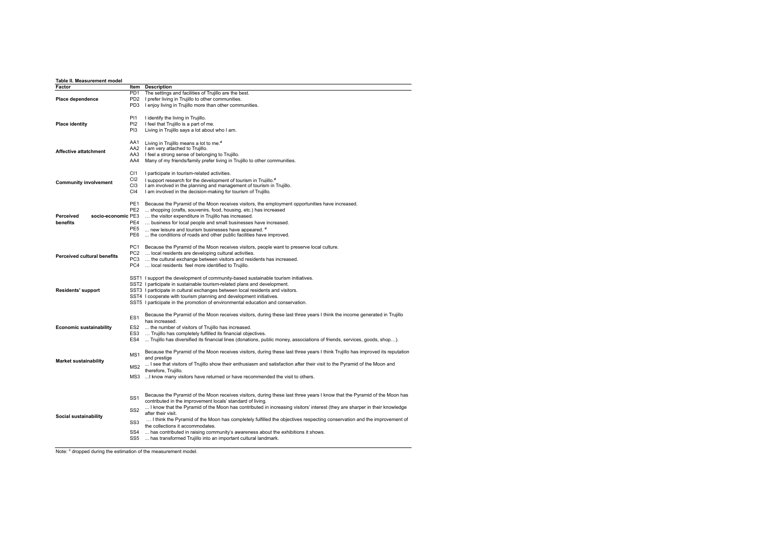| Table II. Measurement model<br>Factor |                         |                                                                                                                               |
|---------------------------------------|-------------------------|-------------------------------------------------------------------------------------------------------------------------------|
|                                       | Item<br>PD <sub>1</sub> | <b>Description</b><br>The settings and facilities of Trujillo are the best.                                                   |
| <b>Place dependence</b>               | PD <sub>2</sub>         | I prefer living in Trujillo to other communities.                                                                             |
|                                       | PD <sub>3</sub>         | I enjoy living in Trujillo more than other communities.                                                                       |
|                                       |                         |                                                                                                                               |
|                                       | <b>P11</b>              | I identify the living in Trujillo.                                                                                            |
| <b>Place identity</b>                 | PI <sub>2</sub>         | I feel that Trujillo is a part of me.                                                                                         |
|                                       | P <sub>13</sub>         | Living in Trujillo says a lot about who I am.                                                                                 |
|                                       |                         |                                                                                                                               |
|                                       | AA1                     | Living in Trujillo means a lot to me. <sup>d</sup>                                                                            |
| <b>Affective attatchment</b>          | AA2                     | I am very attached to Trujillo.                                                                                               |
|                                       | AA3                     | I feel a strong sense of belonging to Trujillo.                                                                               |
|                                       | AA4                     | Many of my friends/family prefer living in Trujillo to other communities.                                                     |
|                                       | C <sub>11</sub>         | I participate in tourism-related activities.                                                                                  |
|                                       | CI <sub>2</sub>         | I support research for the development of tourism in Trujillo. <sup>d</sup>                                                   |
| <b>Community involvement</b>          | C <sub>13</sub>         | I am involved in the planning and management of tourism in Trujillo.                                                          |
|                                       | CI4                     | I am involved in the decision-making for tourism of Trujillo.                                                                 |
|                                       |                         |                                                                                                                               |
|                                       | PE <sub>1</sub>         | Because the Pyramid of the Moon receives visitors, the employment opportunities have increased.                               |
|                                       | PE <sub>2</sub>         | shopping (crafts, souvenirs, food, housing, etc.) has increased                                                               |
| socio-economic PE3<br>Perceived       |                         | the visitor expenditure in Trujillo has increased.                                                                            |
| benefits                              | PE4                     | business for local people and small businesses have increased.                                                                |
|                                       | PE <sub>5</sub>         | new leisure and tourism businesses have appeared. d                                                                           |
|                                       | PE6                     | the conditions of roads and other public facilities have improved.                                                            |
|                                       |                         |                                                                                                                               |
|                                       | PC1                     | Because the Pyramid of the Moon receives visitors, people want to preserve local culture.                                     |
| <b>Perceived cultural benefits</b>    | PC <sub>2</sub>         | local residents are developing cultural activities.                                                                           |
|                                       | PC3<br>PC4              | the cultural exchange between visitors and residents has increased.                                                           |
|                                       |                         | local residents feel more identified to Trujillo.                                                                             |
|                                       |                         | SST1 I support the development of community-based sustainable tourism initiatives.                                            |
|                                       |                         | SST2 I participate in sustainable tourism-related plans and development.                                                      |
| <b>Residents' support</b>             |                         | SST3 I participate in cultural exchanges between local residents and visitors.                                                |
|                                       |                         | SST4 I cooperate with tourism planning and development initiatives.                                                           |
|                                       |                         | SST5 I participate in the promotion of environmental education and conservation.                                              |
|                                       |                         |                                                                                                                               |
|                                       | ES <sub>1</sub>         | Because the Pyramid of the Moon receives visitors, during these last three years I think the income generated in Trujillo     |
|                                       |                         | has increased.                                                                                                                |
| <b>Economic sustainability</b>        | ES <sub>2</sub>         | the number of visitors of Trujillo has increased.                                                                             |
|                                       | ES <sub>3</sub>         | Trujillo has completely fulfilled its financial objectives.                                                                   |
|                                       | ES4                     | Trujillo has diversified its financial lines (donations, public money, associations of friends, services, goods, shop).       |
|                                       |                         | Because the Pyramid of the Moon receives visitors, during these last three years I think Trujillo has improved its reputation |
|                                       | MS <sub>1</sub>         | and prestige                                                                                                                  |
| <b>Market sustainability</b>          |                         | I see that visitors of Trujillo show their enthusiasm and satisfaction after their visit to the Pyramid of the Moon and       |
|                                       | MS <sub>2</sub>         | therefore, Trujillo.                                                                                                          |
|                                       | MS3                     | I know many visitors have returned or have recommended the visit to others.                                                   |
|                                       |                         |                                                                                                                               |
|                                       |                         |                                                                                                                               |
|                                       | SS <sub>1</sub>         | Because the Pyramid of the Moon receives visitors, during these last three years I know that the Pyramid of the Moon has      |
|                                       |                         | contributed in the improvement locals' standard of living.                                                                    |
|                                       | SS <sub>2</sub>         | I know that the Pyramid of the Moon has contributed in increasing visitors' interest (they are sharper in their knowledge     |
| Social sustainability                 |                         | after their visit.                                                                                                            |
|                                       | SS <sub>3</sub>         | I think the Pyramid of the Moon has completely fulfilled the objectives respecting conservation and the improvement of        |
|                                       |                         | the collections it accommodates.                                                                                              |
|                                       | SS <sub>4</sub>         | has contributed in raising community's awareness about the exhibitions it shows.                                              |
|                                       | SS <sub>5</sub>         | has transformed Trujillo into an important cultural landmark.                                                                 |

Note: d dropped during the estimation of the measurement model.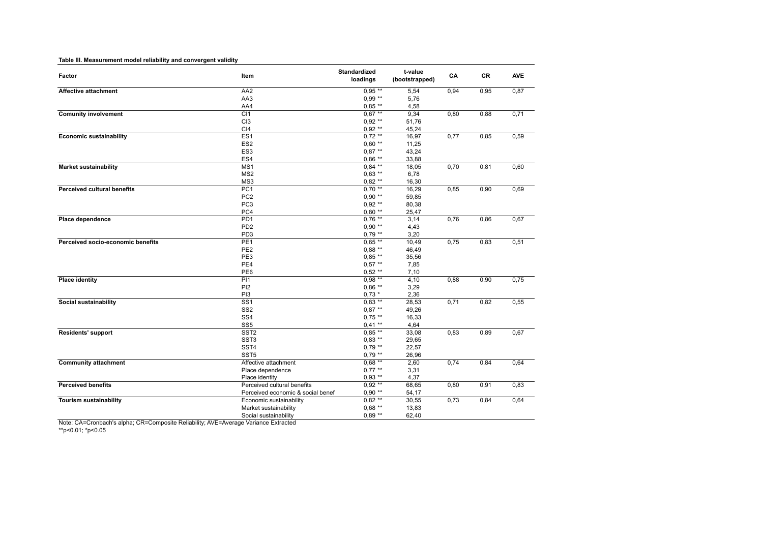| Table III. Measurement model reliability and convergent validity |                                   |                          |                           |      |      |            |
|------------------------------------------------------------------|-----------------------------------|--------------------------|---------------------------|------|------|------------|
| Factor                                                           | Item                              | Standardized<br>loadings | t-value<br>(bootstrapped) | CA   | CR   | <b>AVE</b> |
| <b>Affective attachment</b>                                      | AA2                               | $0.95***$                | 5,54                      | 0,94 | 0,95 | 0,87       |
|                                                                  | AA3                               | $0.99**$                 | 5,76                      |      |      |            |
|                                                                  | AA4                               | $0.85**$                 | 4,58                      |      |      |            |
| <b>Comunity involvement</b>                                      | C <sub>11</sub>                   | $0.67***$                | 9,34                      | 0,80 | 0,88 | 0,71       |
|                                                                  | CI <sub>3</sub>                   | $0.92**$                 | 51,76                     |      |      |            |
|                                                                  | CI4                               | $0.92**$                 | 45,24                     |      |      |            |
| <b>Economic sustainability</b>                                   | ES1                               | $0.72**$                 | 16,97                     | 0,77 | 0,85 | 0,59       |
|                                                                  | ES <sub>2</sub>                   | $0.60**$                 | 11,25                     |      |      |            |
|                                                                  | ES <sub>3</sub>                   | $0.87**$                 | 43,24                     |      |      |            |
|                                                                  | ES4                               | $0.86**$                 | 33,88                     |      |      |            |
| <b>Market sustainability</b>                                     | MS1                               | $0.84***$                | 18,05                     | 0,70 | 0,81 | 0,60       |
|                                                                  | MS <sub>2</sub>                   | $0.63$ **                | 6,78                      |      |      |            |
|                                                                  | MS3                               | $0.82**$                 | 16,30                     |      |      |            |
| <b>Perceived cultural benefits</b>                               | PC1                               | $0,70***$                | 16,29                     | 0,85 | 0,90 | 0,69       |
|                                                                  | PC <sub>2</sub>                   | $0.90**$                 | 59,85                     |      |      |            |
|                                                                  | PC <sub>3</sub>                   | $0.92**$                 | 80,38                     |      |      |            |
|                                                                  | PC4                               | $0.80**$                 | 25,47                     |      |      |            |
| Place dependence                                                 | PD <sub>1</sub>                   | $0.76***$                | 3,14                      | 0,76 | 0,86 | 0,67       |
|                                                                  | PD <sub>2</sub>                   | $0.90**$                 | 4,43                      |      |      |            |
|                                                                  | PD <sub>3</sub>                   | $0.79**$                 | 3,20                      |      |      |            |
| Perceived socio-economic benefits                                | PE <sub>1</sub>                   | $0.65**$                 | 10,49                     | 0,75 | 0,83 | 0,51       |
|                                                                  | PE <sub>2</sub>                   | $0,88**$                 | 46,49                     |      |      |            |
|                                                                  | PE3                               | $0.85**$                 | 35,56                     |      |      |            |
|                                                                  | PE4                               | $0.57**$                 | 7,85                      |      |      |            |
|                                                                  | PE6                               | $0.52**$                 | 7,10                      |      |      |            |
| <b>Place identity</b>                                            | PI1                               | $0.98**$                 | 4,10                      | 0,88 | 0,90 | 0,75       |
|                                                                  | PI <sub>2</sub>                   | $0.86**$                 | 3,29                      |      |      |            |
|                                                                  | PI3                               | $0.73*$                  | 2,36                      |      |      |            |
| <b>Social sustainability</b>                                     | $\overline{\text{SS1}}$           | $0.83$ **                | 28,53                     | 0,71 | 0,82 | 0,55       |
|                                                                  | SS <sub>2</sub>                   | $0.87**$                 | 49,26                     |      |      |            |
|                                                                  | SS <sub>4</sub>                   | $0.75$ **                | 16,33                     |      |      |            |
|                                                                  | SS <sub>5</sub>                   | $0.41**$                 | 4,64                      |      |      |            |
| Residents' support                                               | SST <sub>2</sub>                  | $0.85**$                 | 33,08                     | 0,83 | 0,89 | 0,67       |
|                                                                  | SST <sub>3</sub>                  | $0.83$ **                | 29,65                     |      |      |            |
|                                                                  | SST4                              | $0.79**$                 | 22,57                     |      |      |            |
|                                                                  | SST <sub>5</sub>                  | $0,79**$                 | 26,96                     |      |      |            |
| <b>Community attachment</b>                                      | Affective attachment              | $0.68***$                | 2,60                      | 0,74 | 0,84 | 0,64       |
|                                                                  | Place dependence                  | $0.77$ **                | 3,31                      |      |      |            |
|                                                                  | Place identity                    | $0.93$ **                | 4,37                      |      |      |            |
| <b>Perceived benefits</b>                                        | Perceived cultural benefits       | $0.92**$                 | 68,65                     | 0,80 | 0,91 | 0,83       |
|                                                                  | Perceived economic & social benef | $0.90**$                 | 54,17                     |      |      |            |
| <b>Tourism sustainability</b>                                    | Economic sustainability           | $0.82***$                | 30,55                     | 0,73 | 0,84 | 0,64       |
|                                                                  | Market sustainability             | $0.68**$                 | 13,83                     |      |      |            |
|                                                                  | Social sustainability             | $0.89**$                 | 62,40                     |      |      |            |
|                                                                  |                                   |                          |                           |      |      |            |

\*\*p<0.01; \*p<0.05 Note: CA=Cronbach's alpha; CR=Composite Reliability; AVE=Average Variance Extracted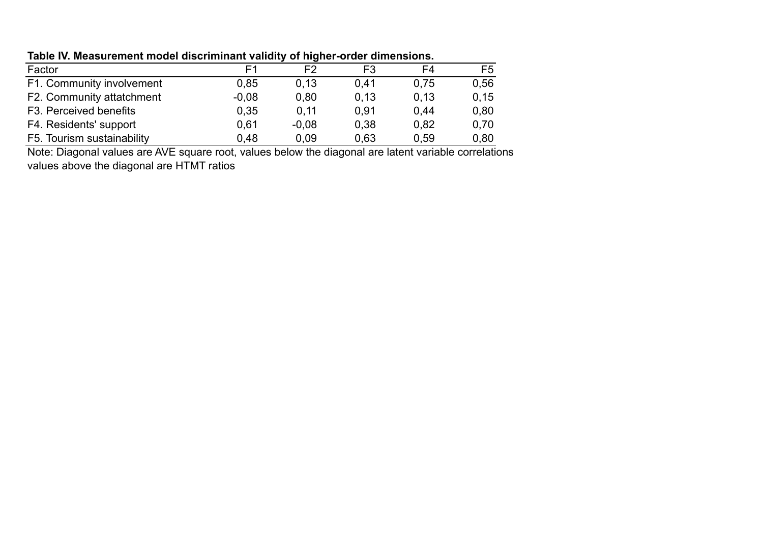## **Table IV. Measurement model discriminant validity of higher-order dimensions.**

| Factor                     | E1      | F2      | F <sub>3</sub> | F4   | F <sub>5</sub> |
|----------------------------|---------|---------|----------------|------|----------------|
| F1. Community involvement  | 0.85    | 0.13    | 0.41           | 0.75 | 0.56           |
| F2. Community attatchment  | $-0.08$ | 0.80    | 0.13           | 0,13 | 0, 15          |
| F3. Perceived benefits     | 0.35    | 0,11    | 0.91           | 0.44 | 0.80           |
| F4. Residents' support     | 0.61    | $-0.08$ | 0.38           | 0.82 | 0.70           |
| F5. Tourism sustainability | 0,48    | 0.09    | 0,63           | 0,59 | 0.80           |

Note: Diagonal values are AVE square root, values below the diagonal are latent variable correlations values above the diagonal are HTMT ratios